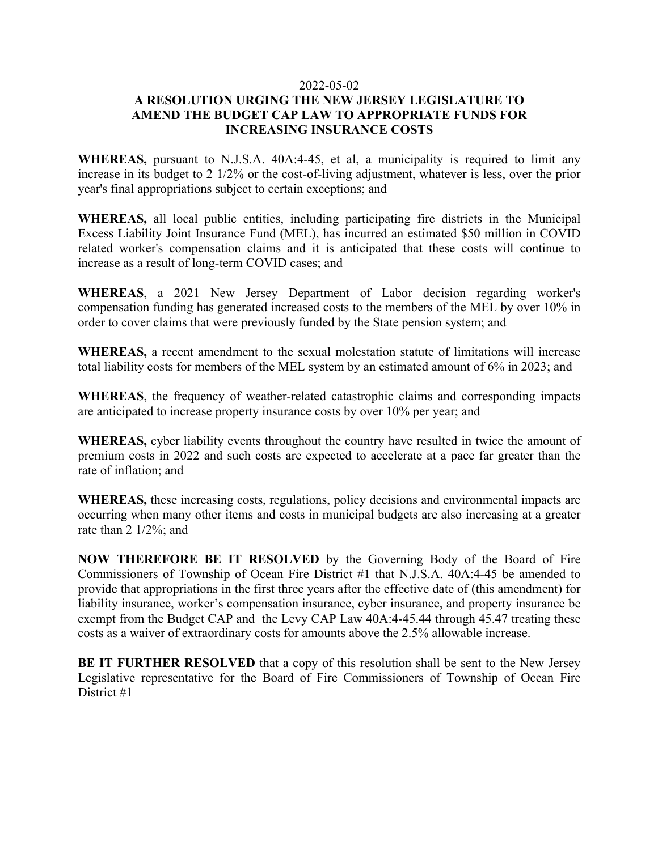## 2022-05-02

## **A RESOLUTION URGING THE NEW JERSEY LEGISLATURE TO AMEND THE BUDGET CAP LAW TO APPROPRIATE FUNDS FOR INCREASING INSURANCE COSTS**

**WHEREAS,** pursuant to N.J.S.A. 40A:4-45, et al, a municipality is required to limit any increase in its budget to 2 1/2% or the cost-of-living adjustment, whatever is less, over the prior year's final appropriations subject to certain exceptions; and

**WHEREAS,** all local public entities, including participating fire districts in the Municipal Excess Liability Joint Insurance Fund (MEL), has incurred an estimated \$50 million in COVID related worker's compensation claims and it is anticipated that these costs will continue to increase as a result of long-term COVID cases; and

**WHEREAS**, a 2021 New Jersey Department of Labor decision regarding worker's compensation funding has generated increased costs to the members of the MEL by over 10% in order to cover claims that were previously funded by the State pension system; and

**WHEREAS,** a recent amendment to the sexual molestation statute of limitations will increase total liability costs for members of the MEL system by an estimated amount of 6% in 2023; and

**WHEREAS**, the frequency of weather-related catastrophic claims and corresponding impacts are anticipated to increase property insurance costs by over 10% per year; and

**WHEREAS,** cyber liability events throughout the country have resulted in twice the amount of premium costs in 2022 and such costs are expected to accelerate at a pace far greater than the rate of inflation; and

**WHEREAS,** these increasing costs, regulations, policy decisions and environmental impacts are occurring when many other items and costs in municipal budgets are also increasing at a greater rate than 2 1/2%; and

**NOW THEREFORE BE IT RESOLVED** by the Governing Body of the Board of Fire Commissioners of Township of Ocean Fire District #1 that N.J.S.A. 40A:4-45 be amended to provide that appropriations in the first three years after the effective date of (this amendment) for liability insurance, worker's compensation insurance, cyber insurance, and property insurance be exempt from the Budget CAP and the Levy CAP Law 40A:4-45.44 through 45.47 treating these costs as a waiver of extraordinary costs for amounts above the 2.5% allowable increase.

**BE IT FURTHER RESOLVED** that a copy of this resolution shall be sent to the New Jersey Legislative representative for the Board of Fire Commissioners of Township of Ocean Fire District #1